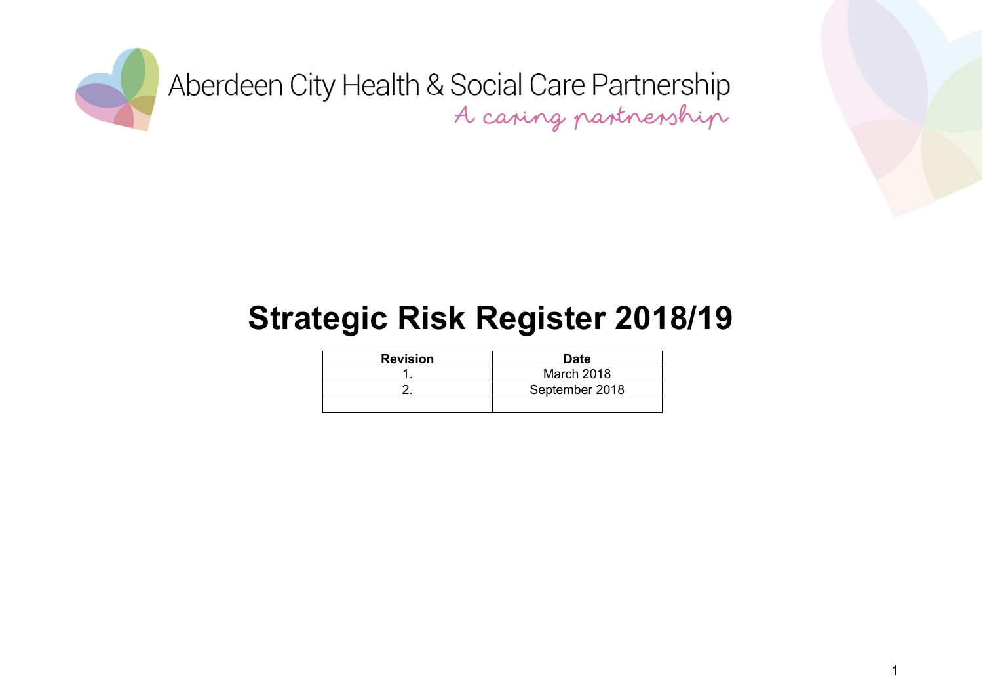



#### **Strategic Risk Register 2018/19**

| <b>Revision</b> | <b>Date</b>    |
|-----------------|----------------|
|                 | March 2018     |
|                 | September 2018 |
|                 |                |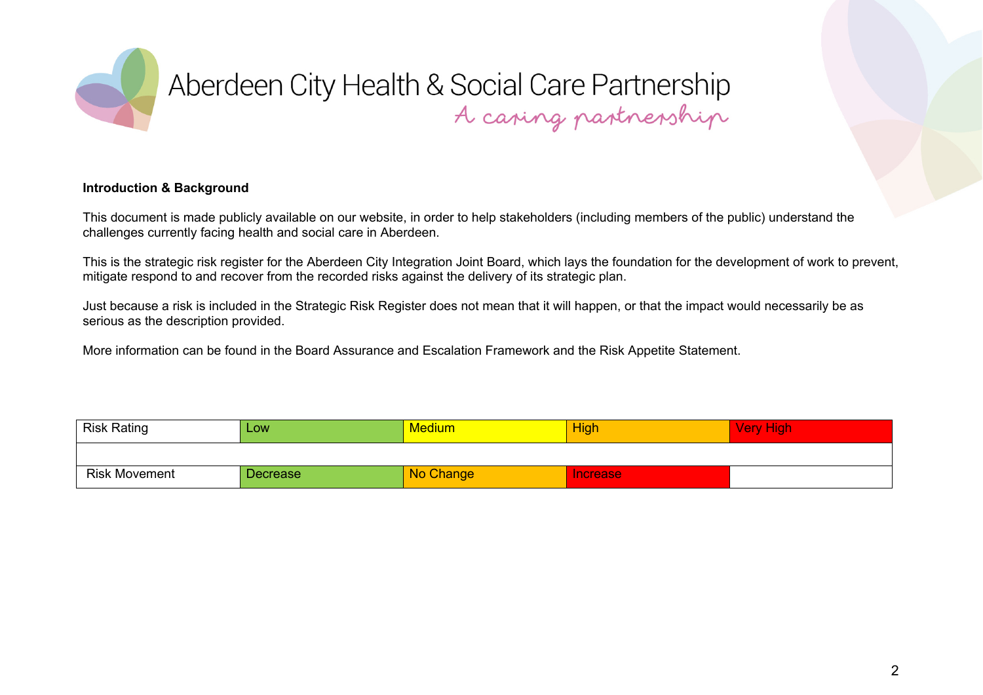

#### **Introduction & Background**

This document is made publicly available on our website, in order to help stakeholders (including members of the public) understand the challenges currently facing health and social care in Aberdeen.

This is the strategic risk register for the Aberdeen City Integration Joint Board, which lays the foundation for the development of work to prevent, mitigate respond to and recover from the recorded risks against the delivery of its strategic plan.

Just because a risk is included in the Strategic Risk Register does not mean that it will happen, or that the impact would necessarily be as serious as the description provided.

More information can be found in the Board Assurance and Escalation Framework and the Risk Appetite Statement.

| <b>Risk Rating</b>   | Low             | Medium    | <b>High</b> | <b>Very High</b> |
|----------------------|-----------------|-----------|-------------|------------------|
|                      |                 |           |             |                  |
| <b>Risk Movement</b> | <b>Decrease</b> | No Change | Increase    |                  |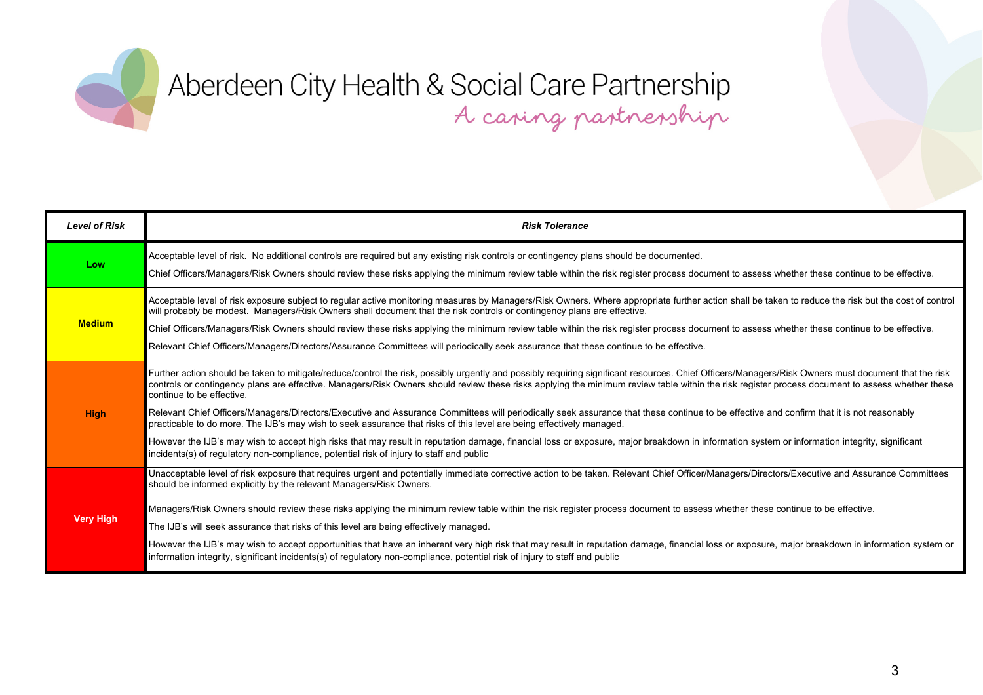

| <b>Level of Risk</b> | <b>Risk Tolerance</b>                                                                                                                                                                                                                                                                                                                                                                                                                                                                                                         |
|----------------------|-------------------------------------------------------------------------------------------------------------------------------------------------------------------------------------------------------------------------------------------------------------------------------------------------------------------------------------------------------------------------------------------------------------------------------------------------------------------------------------------------------------------------------|
| Low                  | Acceptable level of risk. No additional controls are required but any existing risk controls or contingency plans should be documented.<br>Chief Officers/Managers/Risk Owners should review these risks applying the minimum review table within the risk register process document to assess whether these continue to be effective.                                                                                                                                                                                        |
| <b>Medium</b>        | Acceptable level of risk exposure subject to regular active monitoring measures by Managers/Risk Owners. Where appropriate further action shall be taken to reduce the risk but the cost of control<br>will probably be modest. Managers/Risk Owners shall document that the risk controls or contingency plans are effective.<br>Chief Officers/Managers/Risk Owners should review these risks applying the minimum review table within the risk register process document to assess whether these continue to be effective. |
|                      | Relevant Chief Officers/Managers/Directors/Assurance Committees will periodically seek assurance that these continue to be effective.                                                                                                                                                                                                                                                                                                                                                                                         |
|                      | Further action should be taken to mitigate/reduce/control the risk, possibly urgently and possibly requiring significant resources. Chief Officers/Managers/Risk Owners must document that the risk<br>controls or contingency plans are effective. Managers/Risk Owners should review these risks applying the minimum review table within the risk register process document to assess whether these<br>continue to be effective.                                                                                           |
| <b>High</b>          | Relevant Chief Officers/Managers/Directors/Executive and Assurance Committees will periodically seek assurance that these continue to be effective and confirm that it is not reasonably<br>practicable to do more. The IJB's may wish to seek assurance that risks of this level are being effectively managed.                                                                                                                                                                                                              |
|                      | However the IJB's may wish to accept high risks that may result in reputation damage, financial loss or exposure, major breakdown in information system or information integrity, significant<br>incidents(s) of regulatory non-compliance, potential risk of injury to staff and public                                                                                                                                                                                                                                      |
|                      | Unacceptable level of risk exposure that requires urgent and potentially immediate corrective action to be taken. Relevant Chief Officer/Managers/Directors/Executive and Assurance Committees<br>should be informed explicitly by the relevant Managers/Risk Owners.                                                                                                                                                                                                                                                         |
| <b>Very High</b>     | Managers/Risk Owners should review these risks applying the minimum review table within the risk register process document to assess whether these continue to be effective.                                                                                                                                                                                                                                                                                                                                                  |
|                      | The IJB's will seek assurance that risks of this level are being effectively managed.                                                                                                                                                                                                                                                                                                                                                                                                                                         |
|                      | However the IJB's may wish to accept opportunities that have an inherent very high risk that may result in reputation damage, financial loss or exposure, major breakdown in information system or<br>information integrity, significant incidents(s) of regulatory non-compliance, potential risk of injury to staff and public                                                                                                                                                                                              |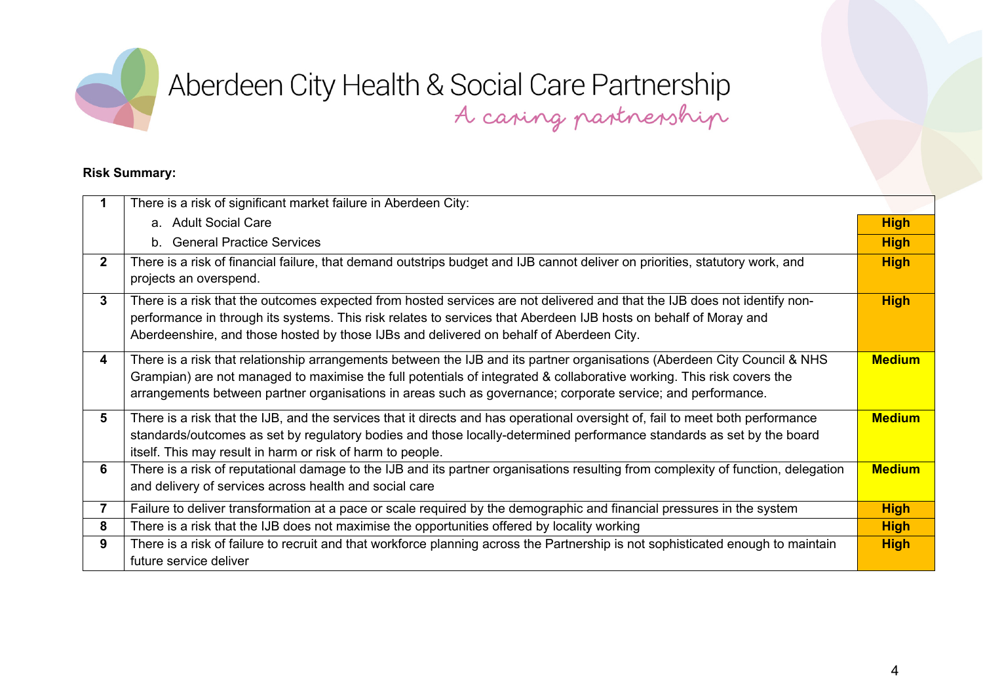

#### **Risk Summary:**

|                | There is a risk of significant market failure in Aberdeen City:                                                                                                                                                                                                                                                                                                   |               |
|----------------|-------------------------------------------------------------------------------------------------------------------------------------------------------------------------------------------------------------------------------------------------------------------------------------------------------------------------------------------------------------------|---------------|
|                | a. Adult Social Care                                                                                                                                                                                                                                                                                                                                              | <b>High</b>   |
|                | b. General Practice Services                                                                                                                                                                                                                                                                                                                                      | <b>High</b>   |
| $2^{\circ}$    | There is a risk of financial failure, that demand outstrips budget and IJB cannot deliver on priorities, statutory work, and<br>projects an overspend.                                                                                                                                                                                                            | <b>High</b>   |
| 3 <sup>1</sup> | There is a risk that the outcomes expected from hosted services are not delivered and that the IJB does not identify non-<br>performance in through its systems. This risk relates to services that Aberdeen IJB hosts on behalf of Moray and<br>Aberdeenshire, and those hosted by those IJBs and delivered on behalf of Aberdeen City.                          | <b>High</b>   |
| 4              | There is a risk that relationship arrangements between the IJB and its partner organisations (Aberdeen City Council & NHS<br>Grampian) are not managed to maximise the full potentials of integrated & collaborative working. This risk covers the<br>arrangements between partner organisations in areas such as governance; corporate service; and performance. | <b>Medium</b> |
| 5 <sup>5</sup> | There is a risk that the IJB, and the services that it directs and has operational oversight of, fail to meet both performance<br>standards/outcomes as set by regulatory bodies and those locally-determined performance standards as set by the board<br>itself. This may result in harm or risk of harm to people.                                             | <b>Medium</b> |
| 6              | There is a risk of reputational damage to the IJB and its partner organisations resulting from complexity of function, delegation<br>and delivery of services across health and social care                                                                                                                                                                       | <b>Medium</b> |
| 7              | Failure to deliver transformation at a pace or scale required by the demographic and financial pressures in the system                                                                                                                                                                                                                                            | <b>High</b>   |
| 8              | There is a risk that the IJB does not maximise the opportunities offered by locality working                                                                                                                                                                                                                                                                      | <b>High</b>   |
| 9              | There is a risk of failure to recruit and that workforce planning across the Partnership is not sophisticated enough to maintain<br>future service deliver                                                                                                                                                                                                        | <b>High</b>   |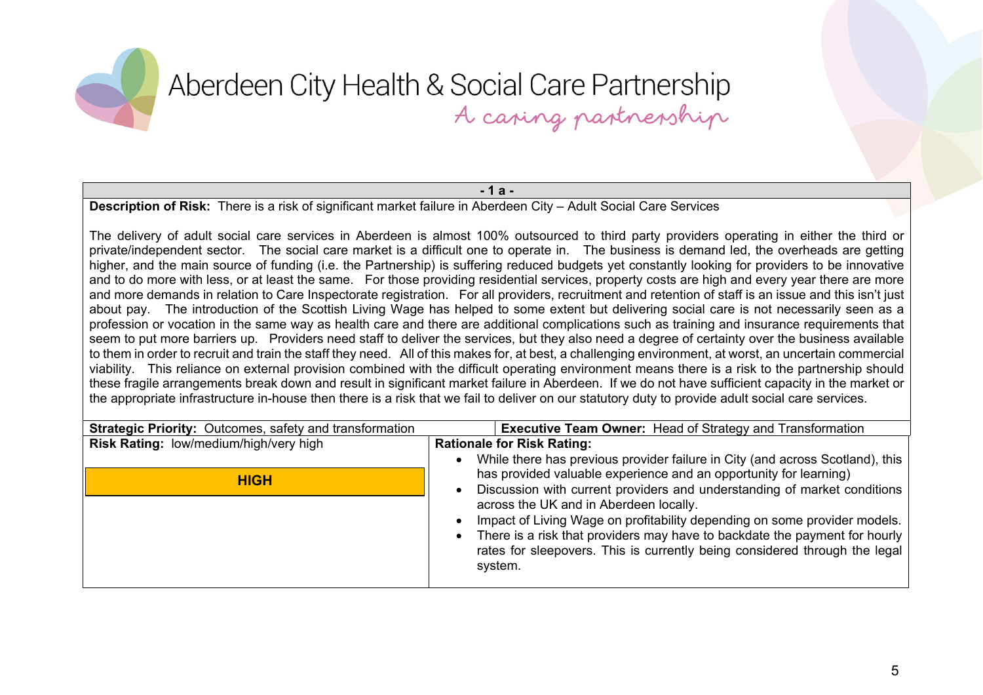**- 1 a -**

**Description of Risk:** There is a risk of significant market failure in Aberdeen City – Adult Social Care Services

The delivery of adult social care services in Aberdeen is almost 100% outsourced to third party providers operating in either the third or private/independent sector. The social care market is a difficult one to operate in. The business is demand led, the overheads are getting higher, and the main source of funding (i.e. the Partnership) is suffering reduced budgets yet constantly looking for providers to be innovative and to do more with less, or at least the same. For those providing residential services, property costs are high and every year there are more and more demands in relation to Care Inspectorate registration. For all providers, recruitment and retention of staff is an issue and this isn't just about pay. The introduction of the Scottish Living Wage has helped to some extent but delivering social care is not necessarily seen as a profession or vocation in the same way as health care and there are additional complications such as training and insurance requirements that seem to put more barriers up. Providers need staff to deliver the services, but they also need a degree of certainty over the business available to them in order to recruit and train the staff they need. All of this makes for, at best, a challenging environment, at worst, an uncertain commercial viability. This reliance on external provision combined with the difficult operating environment means there is a risk to the partnership should these fragile arrangements break down and result in significant market failure in Aberdeen. If we do not have sufficient capacity in the market or the appropriate infrastructure in-house then there is a risk that we fail to deliver on our statutory duty to provide adult social care services.

| <b>Strategic Priority: Outcomes, safety and transformation</b> | <b>Executive Team Owner: Head of Strategy and Transformation</b>                                                                                                                                                                                                                                                                                                                                                                                                                                                             |
|----------------------------------------------------------------|------------------------------------------------------------------------------------------------------------------------------------------------------------------------------------------------------------------------------------------------------------------------------------------------------------------------------------------------------------------------------------------------------------------------------------------------------------------------------------------------------------------------------|
| Risk Rating: low/medium/high/very high                         | <b>Rationale for Risk Rating:</b>                                                                                                                                                                                                                                                                                                                                                                                                                                                                                            |
| <b>HIGH</b>                                                    | While there has previous provider failure in City (and across Scotland), this<br>has provided valuable experience and an opportunity for learning)<br>Discussion with current providers and understanding of market conditions<br>across the UK and in Aberdeen locally.<br>Impact of Living Wage on profitability depending on some provider models.<br>There is a risk that providers may have to backdate the payment for hourly<br>rates for sleepovers. This is currently being considered through the legal<br>system. |
|                                                                |                                                                                                                                                                                                                                                                                                                                                                                                                                                                                                                              |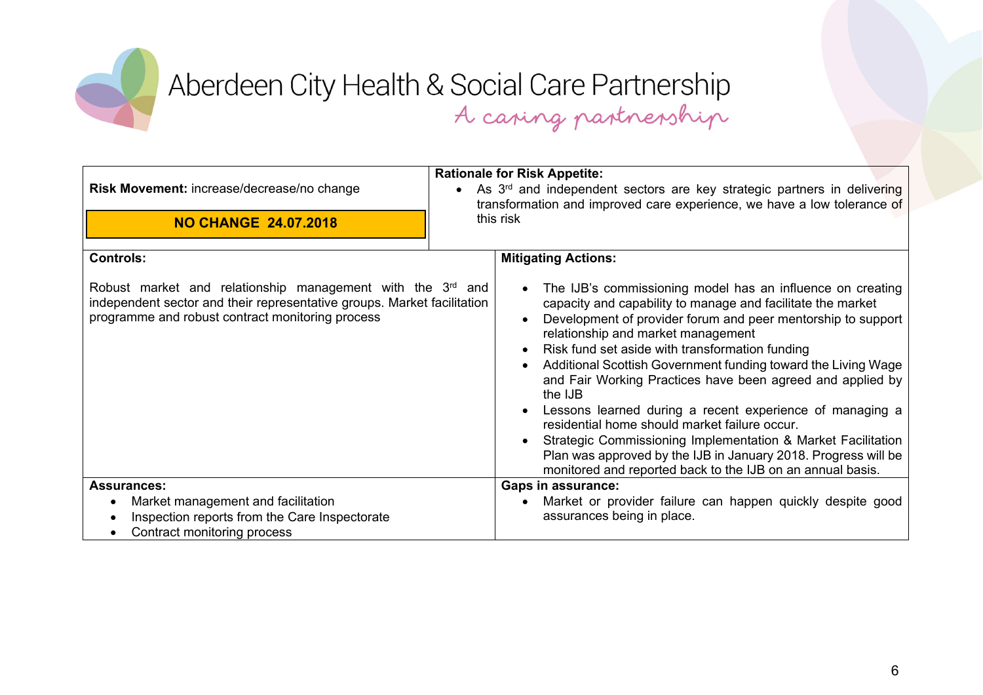

|                                                                                                                                                                                                       |           | <b>Rationale for Risk Appetite:</b>                                                                                                                                                                                                                                                                                                                                                                                                                                                                                                                                                                                                                                                                                                       |
|-------------------------------------------------------------------------------------------------------------------------------------------------------------------------------------------------------|-----------|-------------------------------------------------------------------------------------------------------------------------------------------------------------------------------------------------------------------------------------------------------------------------------------------------------------------------------------------------------------------------------------------------------------------------------------------------------------------------------------------------------------------------------------------------------------------------------------------------------------------------------------------------------------------------------------------------------------------------------------------|
| Risk Movement: increase/decrease/no change                                                                                                                                                            |           | As 3 <sup>rd</sup> and independent sectors are key strategic partners in delivering<br>transformation and improved care experience, we have a low tolerance of                                                                                                                                                                                                                                                                                                                                                                                                                                                                                                                                                                            |
| <b>NO CHANGE 24.07.2018</b>                                                                                                                                                                           | this risk |                                                                                                                                                                                                                                                                                                                                                                                                                                                                                                                                                                                                                                                                                                                                           |
| <b>Controls:</b>                                                                                                                                                                                      |           | <b>Mitigating Actions:</b>                                                                                                                                                                                                                                                                                                                                                                                                                                                                                                                                                                                                                                                                                                                |
| Robust market and relationship management with the 3 <sup>rd</sup> and<br>independent sector and their representative groups. Market facilitation<br>programme and robust contract monitoring process |           | The IJB's commissioning model has an influence on creating<br>capacity and capability to manage and facilitate the market<br>Development of provider forum and peer mentorship to support<br>relationship and market management<br>Risk fund set aside with transformation funding<br>Additional Scottish Government funding toward the Living Wage<br>and Fair Working Practices have been agreed and applied by<br>the IJB<br>Lessons learned during a recent experience of managing a<br>residential home should market failure occur.<br>Strategic Commissioning Implementation & Market Facilitation<br>Plan was approved by the IJB in January 2018. Progress will be<br>monitored and reported back to the IJB on an annual basis. |
| <b>Assurances:</b>                                                                                                                                                                                    |           | <b>Gaps in assurance:</b>                                                                                                                                                                                                                                                                                                                                                                                                                                                                                                                                                                                                                                                                                                                 |
| Market management and facilitation                                                                                                                                                                    |           | Market or provider failure can happen quickly despite good                                                                                                                                                                                                                                                                                                                                                                                                                                                                                                                                                                                                                                                                                |
| Inspection reports from the Care Inspectorate                                                                                                                                                         |           | assurances being in place.                                                                                                                                                                                                                                                                                                                                                                                                                                                                                                                                                                                                                                                                                                                |
| Contract monitoring process                                                                                                                                                                           |           |                                                                                                                                                                                                                                                                                                                                                                                                                                                                                                                                                                                                                                                                                                                                           |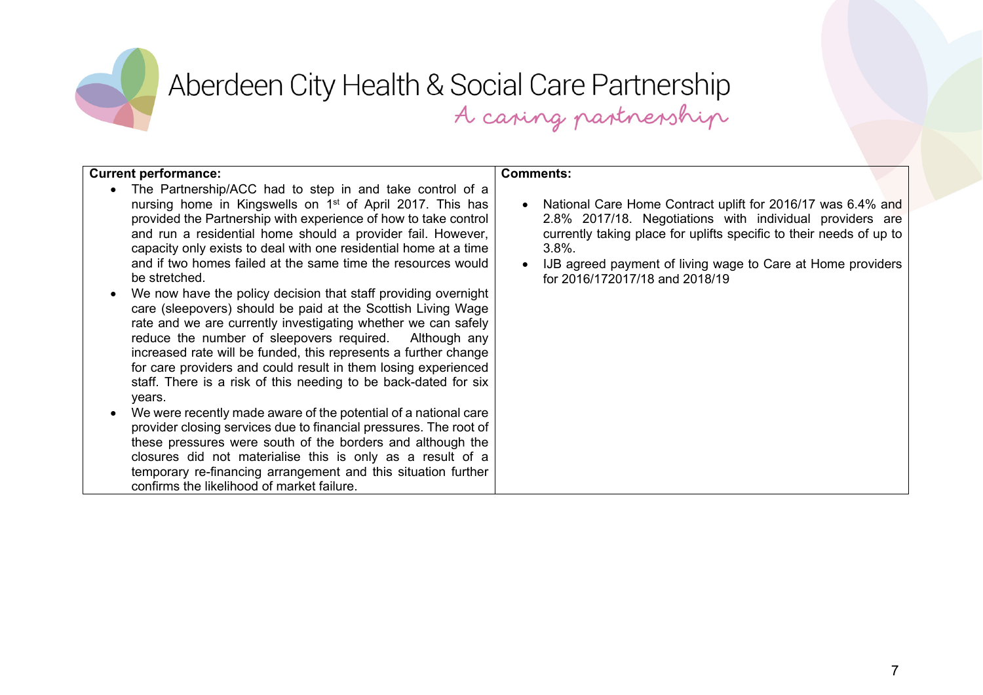

| <b>Current performance:</b>                                                                                                                                                                                                                                                                                                                                                                                                                                                                                                                                                                                                                                                                                                                                                                                                                                                                                          | <b>Comments:</b>                                                                                                                                                                                                                                                                                             |
|----------------------------------------------------------------------------------------------------------------------------------------------------------------------------------------------------------------------------------------------------------------------------------------------------------------------------------------------------------------------------------------------------------------------------------------------------------------------------------------------------------------------------------------------------------------------------------------------------------------------------------------------------------------------------------------------------------------------------------------------------------------------------------------------------------------------------------------------------------------------------------------------------------------------|--------------------------------------------------------------------------------------------------------------------------------------------------------------------------------------------------------------------------------------------------------------------------------------------------------------|
| The Partnership/ACC had to step in and take control of a<br>$\bullet$<br>nursing home in Kingswells on 1 <sup>st</sup> of April 2017. This has<br>provided the Partnership with experience of how to take control<br>and run a residential home should a provider fail. However,<br>capacity only exists to deal with one residential home at a time<br>and if two homes failed at the same time the resources would<br>be stretched.<br>We now have the policy decision that staff providing overnight<br>care (sleepovers) should be paid at the Scottish Living Wage<br>rate and we are currently investigating whether we can safely<br>reduce the number of sleepovers required. Although any<br>increased rate will be funded, this represents a further change<br>for care providers and could result in them losing experienced<br>staff. There is a risk of this needing to be back-dated for six<br>years. | National Care Home Contract uplift for 2016/17 was 6.4% and<br>2.8% 2017/18. Negotiations with individual providers are<br>currently taking place for uplifts specific to their needs of up to<br>$3.8\%$ .<br>IJB agreed payment of living wage to Care at Home providers<br>for 2016/172017/18 and 2018/19 |
| We were recently made aware of the potential of a national care<br>$\bullet$<br>provider closing services due to financial pressures. The root of<br>these pressures were south of the borders and although the<br>closures did not materialise this is only as a result of a<br>temporary re-financing arrangement and this situation further<br>confirms the likelihood of market failure.                                                                                                                                                                                                                                                                                                                                                                                                                                                                                                                         |                                                                                                                                                                                                                                                                                                              |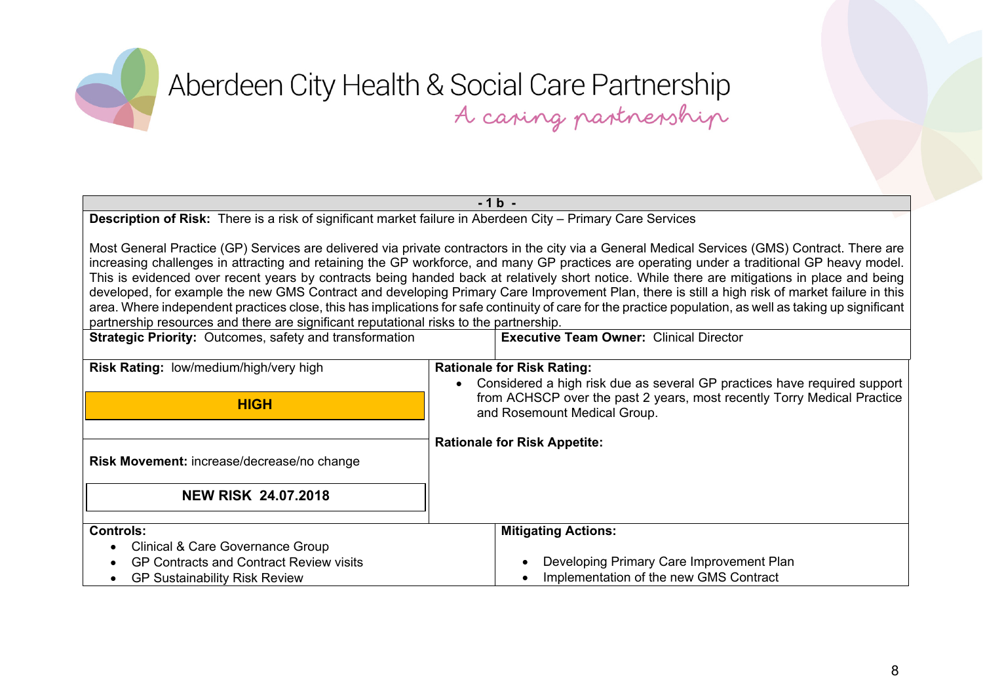**- 1 b - Description of Risk:** There is a risk of significant market failure in Aberdeen City – Primary Care Services Most General Practice (GP) Services are delivered via private contractors in the city via a General Medical Services (GMS) Contract. There are increasing challenges in attracting and retaining the GP workforce, and many GP practices are operating under a traditional GP heavy model. This is evidenced over recent years by contracts being handed back at relatively short notice. While there are mitigations in place and being developed, for example the new GMS Contract and developing Primary Care Improvement Plan, there is still a high risk of market failure in this area. Where independent practices close, this has implications for safe continuity of care for the practice population, as well as taking up significant partnership resources and there are significant reputational risks to the partnership. **Strategic Priority:** Outcomes, safety and transformation **Executive Team Owner:** Clinical Director **Risk Rating:** low/medium/high/very high **Risk Movement:** increase/decrease/no change **Rationale for Risk Rating:** Considered a high risk due as several GP practices have required support from ACHSCP over the past 2 years, most recently Torry Medical Practice and Rosemount Medical Group. **Rationale for Risk Appetite: NEW RISK 24.07.2018 HIGH**

| <b>Controls:</b>                        | <b>Mitigating Actions:</b>               |
|-----------------------------------------|------------------------------------------|
| Clinical & Care Governance Group        |                                          |
| GP Contracts and Contract Review visits | Developing Primary Care Improvement Plan |
| <b>GP Sustainability Risk Review</b>    | Implementation of the new GMS Contract   |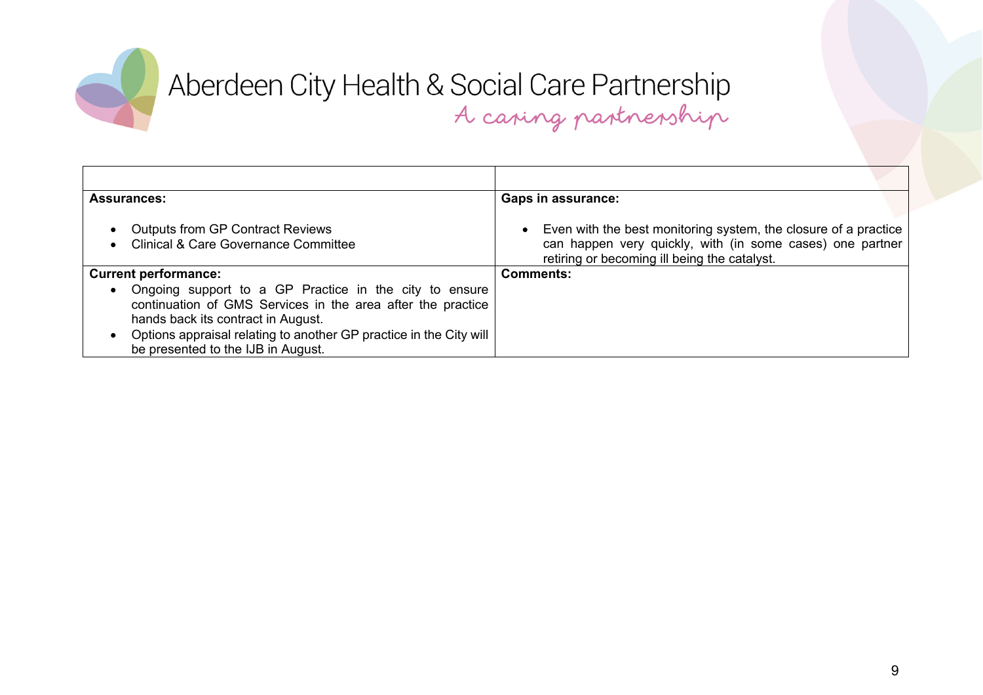

| <b>Assurances:</b>                                                                                                                                                                                                                                                                   | <b>Gaps in assurance:</b>                                                                                                                                                      |
|--------------------------------------------------------------------------------------------------------------------------------------------------------------------------------------------------------------------------------------------------------------------------------------|--------------------------------------------------------------------------------------------------------------------------------------------------------------------------------|
| <b>Outputs from GP Contract Reviews</b><br>$\bullet$<br><b>Clinical &amp; Care Governance Committee</b>                                                                                                                                                                              | • Even with the best monitoring system, the closure of a practice<br>can happen very quickly, with (in some cases) one partner<br>retiring or becoming ill being the catalyst. |
| <b>Current performance:</b>                                                                                                                                                                                                                                                          | Comments:                                                                                                                                                                      |
| Ongoing support to a GP Practice in the city to ensure<br>$\bullet$<br>continuation of GMS Services in the area after the practice<br>hands back its contract in August.<br>Options appraisal relating to another GP practice in the City will<br>be presented to the IJB in August. |                                                                                                                                                                                |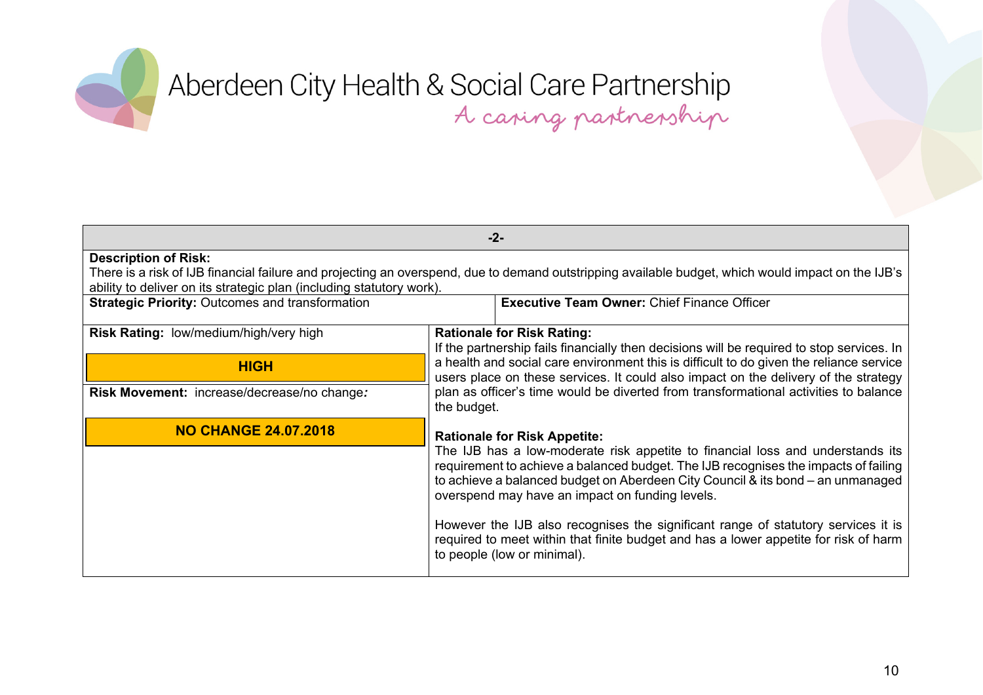

| $-2-$                                                                                                                                                                                                                      |                                                                                                                                                                                                                                                                                                             |  |
|----------------------------------------------------------------------------------------------------------------------------------------------------------------------------------------------------------------------------|-------------------------------------------------------------------------------------------------------------------------------------------------------------------------------------------------------------------------------------------------------------------------------------------------------------|--|
| <b>Description of Risk:</b>                                                                                                                                                                                                |                                                                                                                                                                                                                                                                                                             |  |
| There is a risk of IJB financial failure and projecting an overspend, due to demand outstripping available budget, which would impact on the IJB's<br>ability to deliver on its strategic plan (including statutory work). |                                                                                                                                                                                                                                                                                                             |  |
| <b>Strategic Priority: Outcomes and transformation</b><br><b>Executive Team Owner: Chief Finance Officer</b>                                                                                                               |                                                                                                                                                                                                                                                                                                             |  |
| <b>Risk Rating: low/medium/high/very high</b>                                                                                                                                                                              | <b>Rationale for Risk Rating:</b>                                                                                                                                                                                                                                                                           |  |
|                                                                                                                                                                                                                            | If the partnership fails financially then decisions will be required to stop services. In                                                                                                                                                                                                                   |  |
| <b>HIGH</b>                                                                                                                                                                                                                | a health and social care environment this is difficult to do given the reliance service<br>users place on these services. It could also impact on the delivery of the strategy<br>plan as officer's time would be diverted from transformational activities to balance<br>the budget.                       |  |
| Risk Movement: increase/decrease/no change:                                                                                                                                                                                |                                                                                                                                                                                                                                                                                                             |  |
| <b>NO CHANGE 24.07.2018</b>                                                                                                                                                                                                | <b>Rationale for Risk Appetite:</b>                                                                                                                                                                                                                                                                         |  |
|                                                                                                                                                                                                                            | The IJB has a low-moderate risk appetite to financial loss and understands its<br>requirement to achieve a balanced budget. The IJB recognises the impacts of failing<br>to achieve a balanced budget on Aberdeen City Council & its bond - an unmanaged<br>overspend may have an impact on funding levels. |  |
|                                                                                                                                                                                                                            | However the IJB also recognises the significant range of statutory services it is<br>required to meet within that finite budget and has a lower appetite for risk of harm<br>to people (low or minimal).                                                                                                    |  |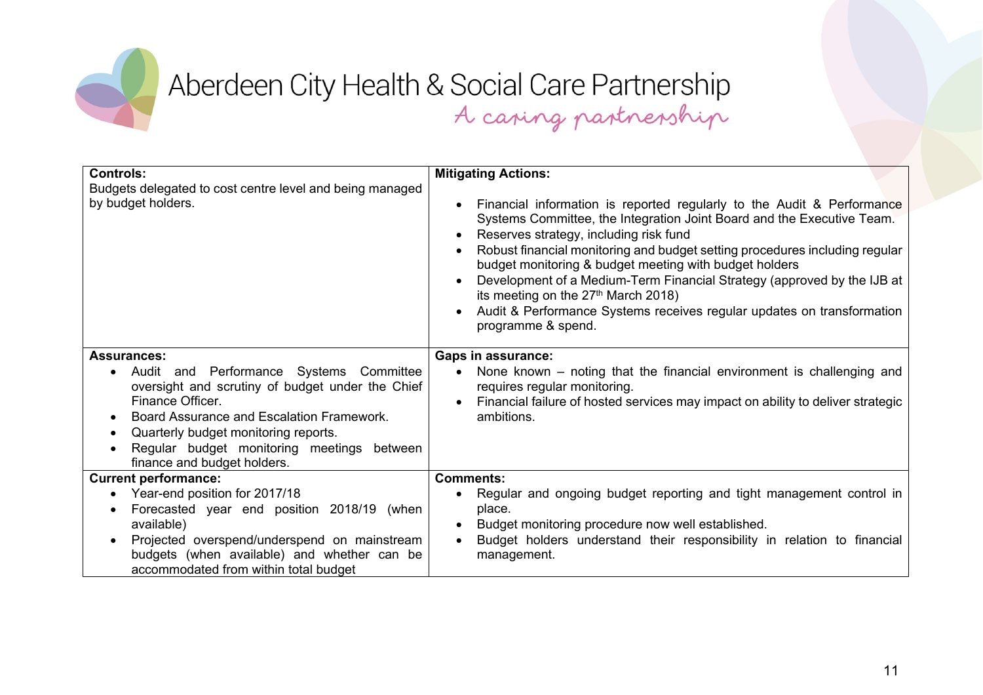

| <b>Controls:</b>                                                                                                                                                                                                                                                                                                     | <b>Mitigating Actions:</b>                                                                                                                                                                                                                                                                                                                                                                                                                                                                                                                                        |
|----------------------------------------------------------------------------------------------------------------------------------------------------------------------------------------------------------------------------------------------------------------------------------------------------------------------|-------------------------------------------------------------------------------------------------------------------------------------------------------------------------------------------------------------------------------------------------------------------------------------------------------------------------------------------------------------------------------------------------------------------------------------------------------------------------------------------------------------------------------------------------------------------|
| Budgets delegated to cost centre level and being managed<br>by budget holders.                                                                                                                                                                                                                                       | Financial information is reported regularly to the Audit & Performance<br>Systems Committee, the Integration Joint Board and the Executive Team.<br>Reserves strategy, including risk fund<br>Robust financial monitoring and budget setting procedures including regular<br>budget monitoring & budget meeting with budget holders<br>Development of a Medium-Term Financial Strategy (approved by the IJB at<br>its meeting on the 27 <sup>th</sup> March 2018)<br>Audit & Performance Systems receives regular updates on transformation<br>programme & spend. |
| <b>Assurances:</b><br>Audit and Performance Systems Committee<br>oversight and scrutiny of budget under the Chief<br>Finance Officer.<br>Board Assurance and Escalation Framework.<br>Quarterly budget monitoring reports.<br>$\bullet$<br>Regular budget monitoring meetings between<br>finance and budget holders. | <b>Gaps in assurance:</b><br>None known – noting that the financial environment is challenging and<br>requires regular monitoring.<br>Financial failure of hosted services may impact on ability to deliver strategic<br>ambitions.                                                                                                                                                                                                                                                                                                                               |
| <b>Current performance:</b><br>Year-end position for 2017/18<br>Forecasted year end position 2018/19 (when<br>available)<br>Projected overspend/underspend on mainstream<br>budgets (when available) and whether can be<br>accommodated from within total budget                                                     | <b>Comments:</b><br>Regular and ongoing budget reporting and tight management control in<br>place.<br>Budget monitoring procedure now well established.<br>Budget holders understand their responsibility in relation to financial<br>management.                                                                                                                                                                                                                                                                                                                 |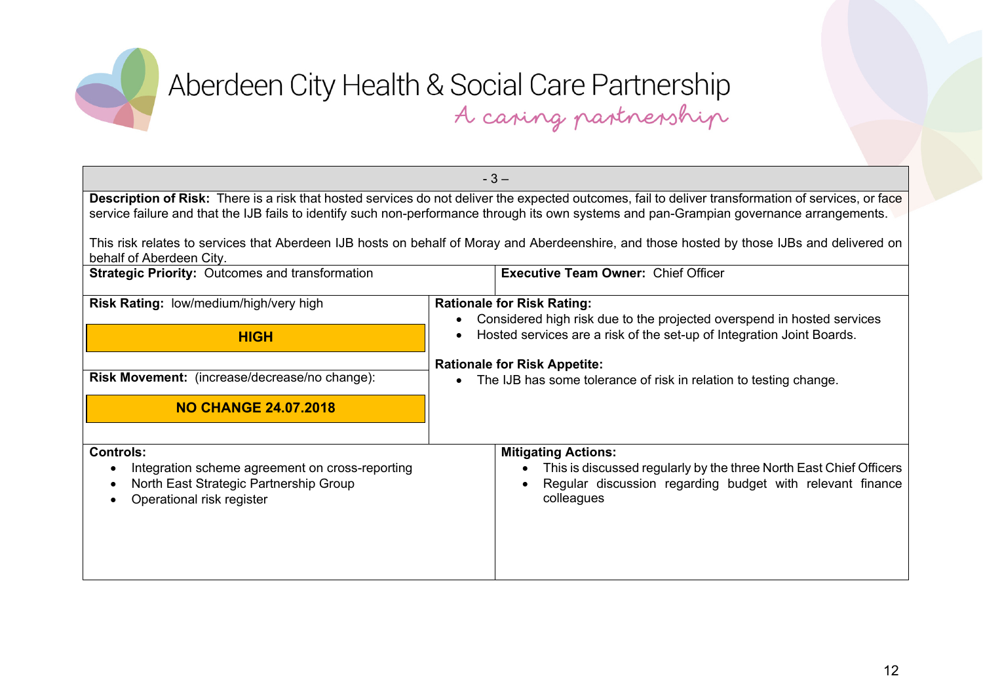

| $-3-$                                                                                                                                                                                                                                                                                            |                                                                                                                                                                             |  |
|--------------------------------------------------------------------------------------------------------------------------------------------------------------------------------------------------------------------------------------------------------------------------------------------------|-----------------------------------------------------------------------------------------------------------------------------------------------------------------------------|--|
| Description of Risk: There is a risk that hosted services do not deliver the expected outcomes, fail to deliver transformation of services, or face<br>service failure and that the IJB fails to identify such non-performance through its own systems and pan-Grampian governance arrangements. |                                                                                                                                                                             |  |
|                                                                                                                                                                                                                                                                                                  |                                                                                                                                                                             |  |
| behalf of Aberdeen City.                                                                                                                                                                                                                                                                         | This risk relates to services that Aberdeen IJB hosts on behalf of Moray and Aberdeenshire, and those hosted by those IJBs and delivered on                                 |  |
| <b>Strategic Priority: Outcomes and transformation</b>                                                                                                                                                                                                                                           | <b>Executive Team Owner: Chief Officer</b>                                                                                                                                  |  |
| Risk Rating: low/medium/high/very high                                                                                                                                                                                                                                                           | <b>Rationale for Risk Rating:</b>                                                                                                                                           |  |
| <b>HIGH</b>                                                                                                                                                                                                                                                                                      | Considered high risk due to the projected overspend in hosted services<br>Hosted services are a risk of the set-up of Integration Joint Boards.                             |  |
|                                                                                                                                                                                                                                                                                                  |                                                                                                                                                                             |  |
| Risk Movement: (increase/decrease/no change):                                                                                                                                                                                                                                                    | <b>Rationale for Risk Appetite:</b><br>The IJB has some tolerance of risk in relation to testing change.                                                                    |  |
| <b>NO CHANGE 24.07.2018</b>                                                                                                                                                                                                                                                                      |                                                                                                                                                                             |  |
|                                                                                                                                                                                                                                                                                                  |                                                                                                                                                                             |  |
| <b>Controls:</b><br>Integration scheme agreement on cross-reporting<br>North East Strategic Partnership Group<br>Operational risk register                                                                                                                                                       | <b>Mitigating Actions:</b><br>This is discussed regularly by the three North East Chief Officers<br>Regular discussion regarding budget with relevant finance<br>colleagues |  |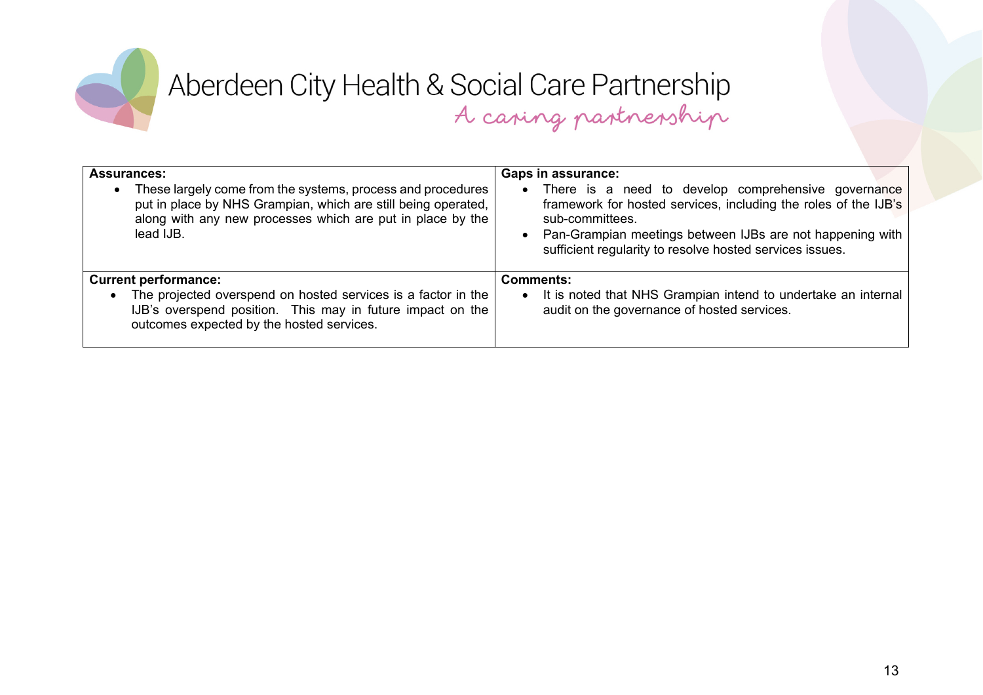

| <b>Assurances:</b><br>These largely come from the systems, process and procedures<br>put in place by NHS Grampian, which are still being operated,<br>along with any new processes which are put in place by the<br>lead IJB. | <b>Gaps in assurance:</b><br>There is a need to develop comprehensive governance<br>framework for hosted services, including the roles of the IJB's<br>sub-committees.<br>Pan-Grampian meetings between IJBs are not happening with<br>sufficient regularity to resolve hosted services issues. |
|-------------------------------------------------------------------------------------------------------------------------------------------------------------------------------------------------------------------------------|-------------------------------------------------------------------------------------------------------------------------------------------------------------------------------------------------------------------------------------------------------------------------------------------------|
| <b>Current performance:</b><br>The projected overspend on hosted services is a factor in the<br>$\bullet$<br>IJB's overspend position. This may in future impact on the<br>outcomes expected by the hosted services.          | Comments:<br>It is noted that NHS Grampian intend to undertake an internal<br>audit on the governance of hosted services.                                                                                                                                                                       |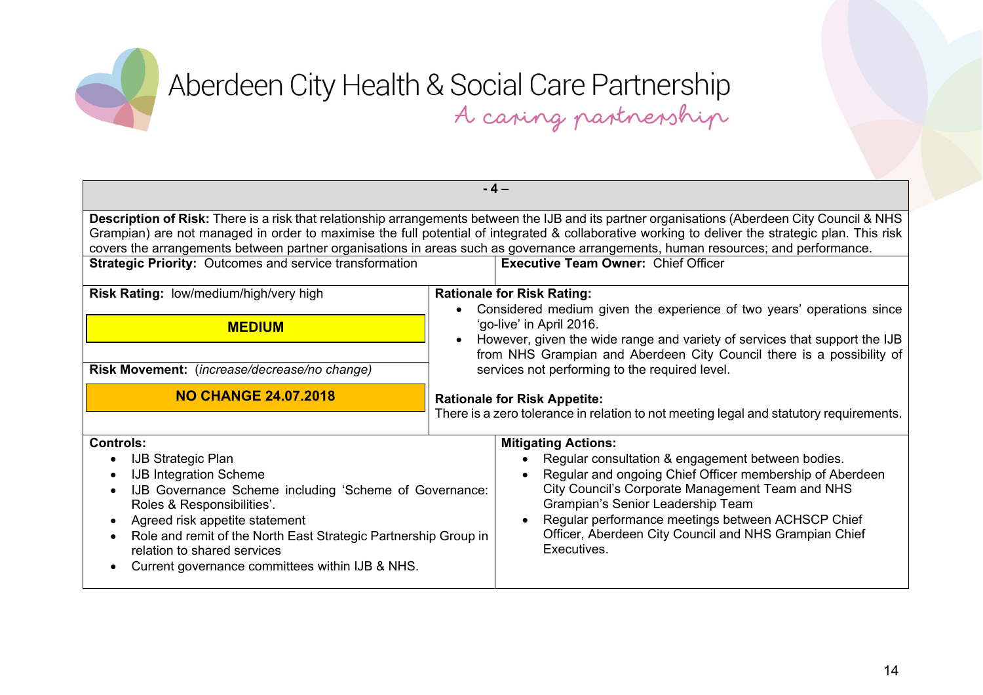| $-4-$                                                                                                                                                                                                                                                                                                                                                                                                                                                                                                                                                   |                                                                                                                                                                                                                                                                                                                                                                   |  |
|---------------------------------------------------------------------------------------------------------------------------------------------------------------------------------------------------------------------------------------------------------------------------------------------------------------------------------------------------------------------------------------------------------------------------------------------------------------------------------------------------------------------------------------------------------|-------------------------------------------------------------------------------------------------------------------------------------------------------------------------------------------------------------------------------------------------------------------------------------------------------------------------------------------------------------------|--|
| Description of Risk: There is a risk that relationship arrangements between the IJB and its partner organisations (Aberdeen City Council & NHS<br>Grampian) are not managed in order to maximise the full potential of integrated & collaborative working to deliver the strategic plan. This risk<br>covers the arrangements between partner organisations in areas such as governance arrangements, human resources; and performance.<br><b>Strategic Priority: Outcomes and service transformation</b><br><b>Executive Team Owner: Chief Officer</b> |                                                                                                                                                                                                                                                                                                                                                                   |  |
|                                                                                                                                                                                                                                                                                                                                                                                                                                                                                                                                                         |                                                                                                                                                                                                                                                                                                                                                                   |  |
| Risk Rating: low/medium/high/very high<br><b>MEDIUM</b><br>Risk Movement: (increase/decrease/no change)                                                                                                                                                                                                                                                                                                                                                                                                                                                 | <b>Rationale for Risk Rating:</b><br>Considered medium given the experience of two years' operations since<br>'go-live' in April 2016.<br>However, given the wide range and variety of services that support the IJB<br>from NHS Grampian and Aberdeen City Council there is a possibility of<br>services not performing to the required level.                   |  |
| <b>NO CHANGE 24.07.2018</b>                                                                                                                                                                                                                                                                                                                                                                                                                                                                                                                             | <b>Rationale for Risk Appetite:</b><br>There is a zero tolerance in relation to not meeting legal and statutory requirements.                                                                                                                                                                                                                                     |  |
| <b>Controls:</b><br><b>IJB Strategic Plan</b><br><b>IJB Integration Scheme</b><br>IJB Governance Scheme including 'Scheme of Governance:<br>Roles & Responsibilities'.<br>Agreed risk appetite statement<br>$\bullet$<br>Role and remit of the North East Strategic Partnership Group in<br>relation to shared services<br>Current governance committees within IJB & NHS.                                                                                                                                                                              | <b>Mitigating Actions:</b><br>Regular consultation & engagement between bodies.<br>Regular and ongoing Chief Officer membership of Aberdeen<br>City Council's Corporate Management Team and NHS<br>Grampian's Senior Leadership Team<br>Regular performance meetings between ACHSCP Chief<br>Officer, Aberdeen City Council and NHS Grampian Chief<br>Executives. |  |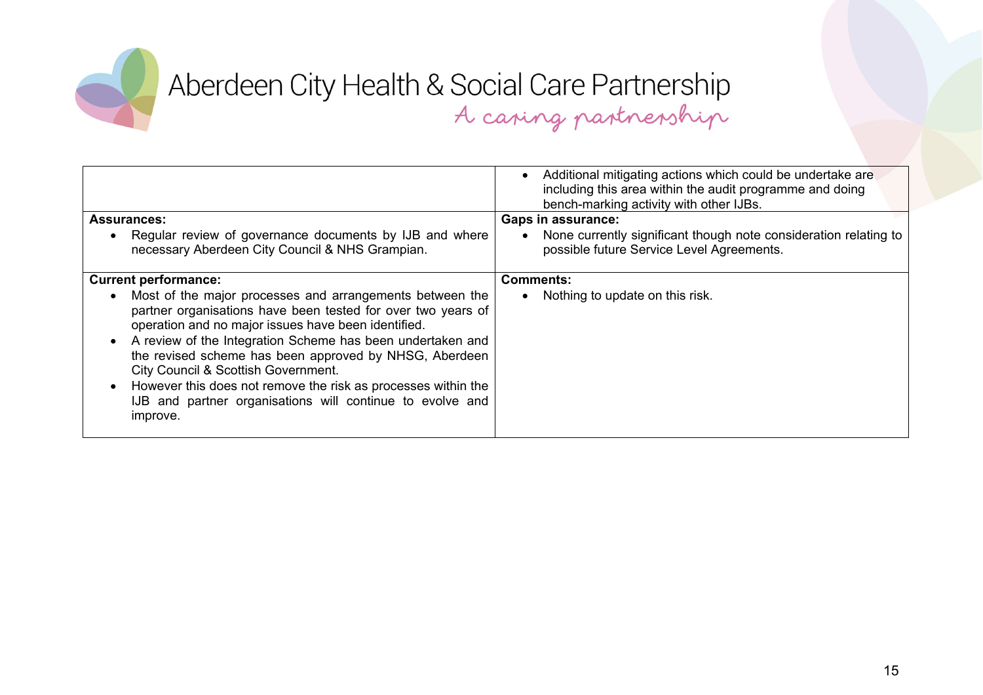

|                                                                                                                                                                                                                                                                                                                                                                                                                                                                                                       | Additional mitigating actions which could be undertake are<br>including this area within the audit programme and doing<br>bench-marking activity with other IJBs. |
|-------------------------------------------------------------------------------------------------------------------------------------------------------------------------------------------------------------------------------------------------------------------------------------------------------------------------------------------------------------------------------------------------------------------------------------------------------------------------------------------------------|-------------------------------------------------------------------------------------------------------------------------------------------------------------------|
| <b>Assurances:</b>                                                                                                                                                                                                                                                                                                                                                                                                                                                                                    | <b>Gaps in assurance:</b>                                                                                                                                         |
| Regular review of governance documents by IJB and where<br>$\bullet$<br>necessary Aberdeen City Council & NHS Grampian.                                                                                                                                                                                                                                                                                                                                                                               | None currently significant though note consideration relating to<br>possible future Service Level Agreements.                                                     |
| <b>Current performance:</b>                                                                                                                                                                                                                                                                                                                                                                                                                                                                           | <b>Comments:</b>                                                                                                                                                  |
| Most of the major processes and arrangements between the<br>$\bullet$<br>partner organisations have been tested for over two years of<br>operation and no major issues have been identified.<br>A review of the Integration Scheme has been undertaken and<br>the revised scheme has been approved by NHSG, Aberdeen<br>City Council & Scottish Government.<br>However this does not remove the risk as processes within the<br>IJB and partner organisations will continue to evolve and<br>improve. | Nothing to update on this risk.                                                                                                                                   |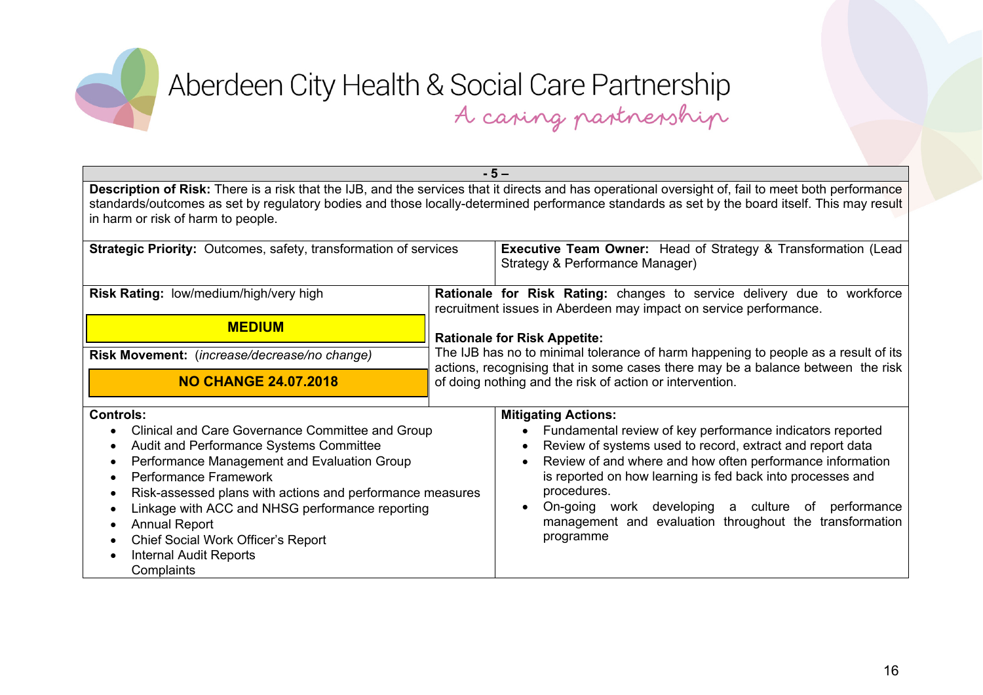

| $-5-$                                                                                                                                                                                                                                                                                                                                                                                                                                                                                      |                                                                                                                                                                                                                                   |                                                                                                                                                                                                                                                                                                                                                                                                                                                       |
|--------------------------------------------------------------------------------------------------------------------------------------------------------------------------------------------------------------------------------------------------------------------------------------------------------------------------------------------------------------------------------------------------------------------------------------------------------------------------------------------|-----------------------------------------------------------------------------------------------------------------------------------------------------------------------------------------------------------------------------------|-------------------------------------------------------------------------------------------------------------------------------------------------------------------------------------------------------------------------------------------------------------------------------------------------------------------------------------------------------------------------------------------------------------------------------------------------------|
| Description of Risk: There is a risk that the IJB, and the services that it directs and has operational oversight of, fail to meet both performance<br>standards/outcomes as set by regulatory bodies and those locally-determined performance standards as set by the board itself. This may result<br>in harm or risk of harm to people.                                                                                                                                                 |                                                                                                                                                                                                                                   |                                                                                                                                                                                                                                                                                                                                                                                                                                                       |
| <b>Strategic Priority:</b> Outcomes, safety, transformation of services                                                                                                                                                                                                                                                                                                                                                                                                                    |                                                                                                                                                                                                                                   | <b>Executive Team Owner:</b> Head of Strategy & Transformation (Lead<br>Strategy & Performance Manager)                                                                                                                                                                                                                                                                                                                                               |
| Risk Rating: low/medium/high/very high                                                                                                                                                                                                                                                                                                                                                                                                                                                     | Rationale for Risk Rating: changes to service delivery due to workforce<br>recruitment issues in Aberdeen may impact on service performance.                                                                                      |                                                                                                                                                                                                                                                                                                                                                                                                                                                       |
| <b>MEDIUM</b>                                                                                                                                                                                                                                                                                                                                                                                                                                                                              | <b>Rationale for Risk Appetite:</b>                                                                                                                                                                                               |                                                                                                                                                                                                                                                                                                                                                                                                                                                       |
| Risk Movement: (increase/decrease/no change)                                                                                                                                                                                                                                                                                                                                                                                                                                               | The IJB has no to minimal tolerance of harm happening to people as a result of its<br>actions, recognising that in some cases there may be a balance between the risk<br>of doing nothing and the risk of action or intervention. |                                                                                                                                                                                                                                                                                                                                                                                                                                                       |
| <b>NO CHANGE 24.07.2018</b>                                                                                                                                                                                                                                                                                                                                                                                                                                                                |                                                                                                                                                                                                                                   |                                                                                                                                                                                                                                                                                                                                                                                                                                                       |
| <b>Controls:</b><br>Clinical and Care Governance Committee and Group<br>$\bullet$<br>Audit and Performance Systems Committee<br>Performance Management and Evaluation Group<br>٠<br>Performance Framework<br>$\bullet$<br>Risk-assessed plans with actions and performance measures<br>$\bullet$<br>Linkage with ACC and NHSG performance reporting<br>$\bullet$<br><b>Annual Report</b><br>$\bullet$<br>Chief Social Work Officer's Report<br><b>Internal Audit Reports</b><br>Complaints |                                                                                                                                                                                                                                   | <b>Mitigating Actions:</b><br>Fundamental review of key performance indicators reported<br>$\bullet$<br>Review of systems used to record, extract and report data<br>Review of and where and how often performance information<br>is reported on how learning is fed back into processes and<br>procedures.<br>On-going work developing a culture of performance<br>$\bullet$<br>management and evaluation throughout the transformation<br>programme |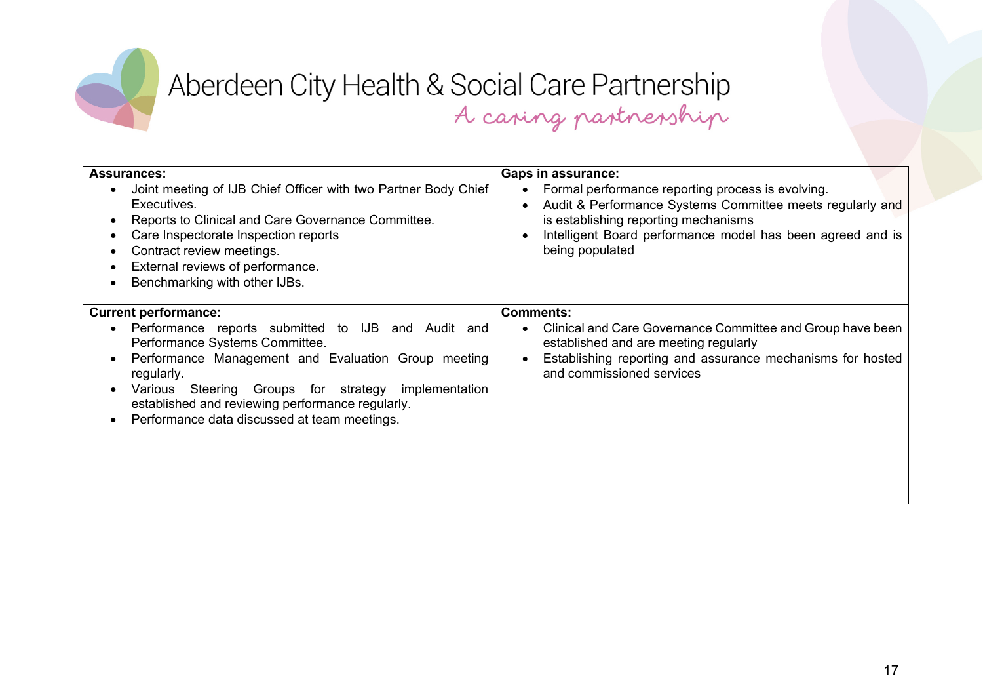

| <b>Assurances:</b><br>Joint meeting of IJB Chief Officer with two Partner Body Chief<br>$\bullet$<br>Executives.<br>Reports to Clinical and Care Governance Committee.<br>$\bullet$<br>Care Inspectorate Inspection reports<br>Contract review meetings.<br>External reviews of performance.<br>Benchmarking with other IJBs.                          | <b>Gaps in assurance:</b><br>Formal performance reporting process is evolving.<br>Audit & Performance Systems Committee meets regularly and<br>$\bullet$<br>is establishing reporting mechanisms<br>Intelligent Board performance model has been agreed and is<br>$\bullet$<br>being populated |
|--------------------------------------------------------------------------------------------------------------------------------------------------------------------------------------------------------------------------------------------------------------------------------------------------------------------------------------------------------|------------------------------------------------------------------------------------------------------------------------------------------------------------------------------------------------------------------------------------------------------------------------------------------------|
| <b>Current performance:</b><br>Performance reports submitted to IJB and Audit and<br>Performance Systems Committee.<br>Performance Management and Evaluation Group meeting<br>regularly.<br>Various Steering Groups for strategy<br>implementation<br>established and reviewing performance regularly.<br>Performance data discussed at team meetings. | <b>Comments:</b><br>Clinical and Care Governance Committee and Group have been<br>established and are meeting regularly<br>Establishing reporting and assurance mechanisms for hosted<br>$\bullet$<br>and commissioned services                                                                |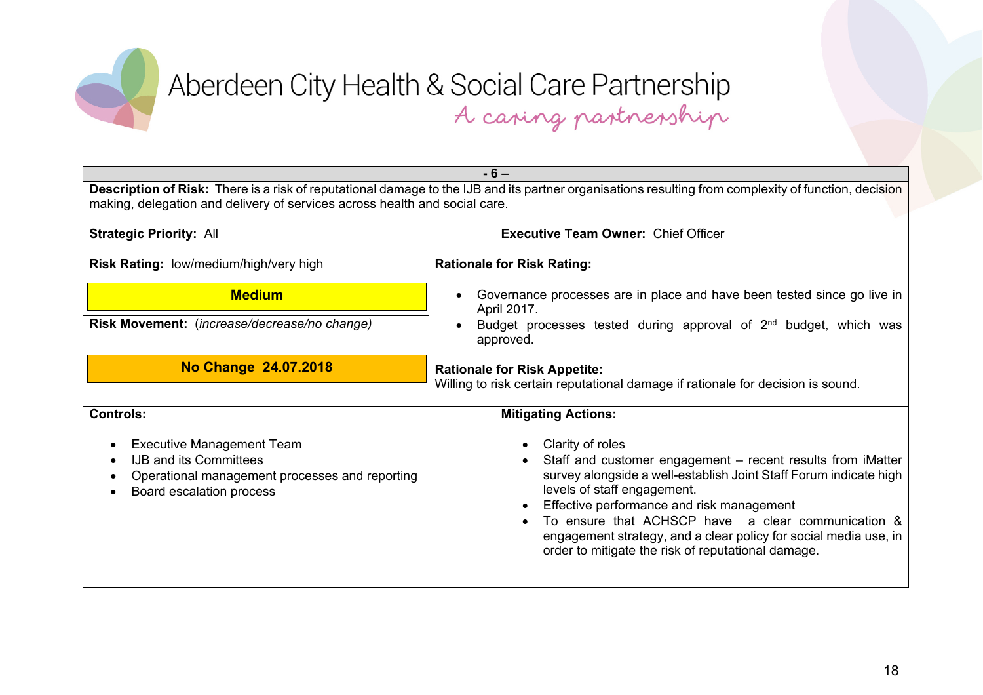

| $-6-$                                                                                                                                                                                                                              |                                                                                                                                                                                                                                                                                                                                                                                                                  |  |
|------------------------------------------------------------------------------------------------------------------------------------------------------------------------------------------------------------------------------------|------------------------------------------------------------------------------------------------------------------------------------------------------------------------------------------------------------------------------------------------------------------------------------------------------------------------------------------------------------------------------------------------------------------|--|
| Description of Risk: There is a risk of reputational damage to the IJB and its partner organisations resulting from complexity of function, decision<br>making, delegation and delivery of services across health and social care. |                                                                                                                                                                                                                                                                                                                                                                                                                  |  |
| <b>Strategic Priority: All</b>                                                                                                                                                                                                     | <b>Executive Team Owner: Chief Officer</b>                                                                                                                                                                                                                                                                                                                                                                       |  |
| Risk Rating: low/medium/high/very high                                                                                                                                                                                             | <b>Rationale for Risk Rating:</b>                                                                                                                                                                                                                                                                                                                                                                                |  |
| <b>Medium</b>                                                                                                                                                                                                                      | Governance processes are in place and have been tested since go live in<br>April 2017.                                                                                                                                                                                                                                                                                                                           |  |
| Risk Movement: (increase/decrease/no change)                                                                                                                                                                                       | Budget processes tested during approval of 2 <sup>nd</sup> budget, which was<br>approved.                                                                                                                                                                                                                                                                                                                        |  |
| No Change 24.07.2018                                                                                                                                                                                                               | <b>Rationale for Risk Appetite:</b><br>Willing to risk certain reputational damage if rationale for decision is sound.                                                                                                                                                                                                                                                                                           |  |
| <b>Controls:</b>                                                                                                                                                                                                                   | <b>Mitigating Actions:</b>                                                                                                                                                                                                                                                                                                                                                                                       |  |
| <b>Executive Management Team</b><br><b>IJB and its Committees</b><br>Operational management processes and reporting<br>Board escalation process                                                                                    | Clarity of roles<br>Staff and customer engagement - recent results from iMatter<br>survey alongside a well-establish Joint Staff Forum indicate high<br>levels of staff engagement.<br>Effective performance and risk management<br>To ensure that ACHSCP have a clear communication &<br>engagement strategy, and a clear policy for social media use, in<br>order to mitigate the risk of reputational damage. |  |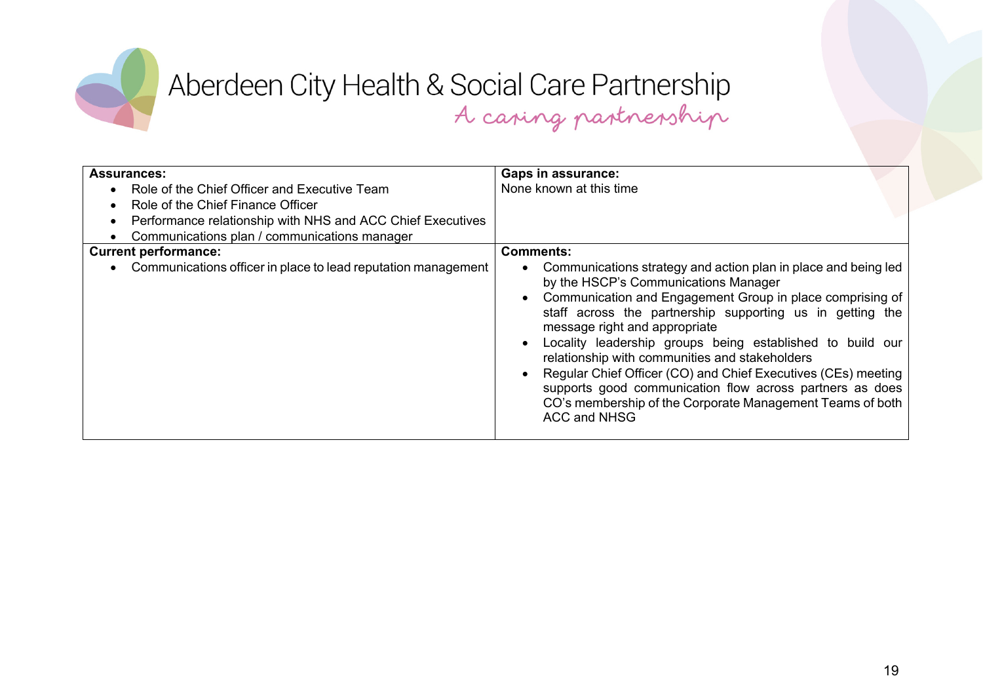

| <b>Assurances:</b><br>Role of the Chief Officer and Executive Team<br>Role of the Chief Finance Officer<br>Performance relationship with NHS and ACC Chief Executives<br>Communications plan / communications manager | <b>Gaps in assurance:</b><br>None known at this time                                                                                                                                                                                                                                                                                                                                                                                                                                                                                                                                                                  |
|-----------------------------------------------------------------------------------------------------------------------------------------------------------------------------------------------------------------------|-----------------------------------------------------------------------------------------------------------------------------------------------------------------------------------------------------------------------------------------------------------------------------------------------------------------------------------------------------------------------------------------------------------------------------------------------------------------------------------------------------------------------------------------------------------------------------------------------------------------------|
| <b>Current performance:</b><br>Communications officer in place to lead reputation management                                                                                                                          | <b>Comments:</b><br>Communications strategy and action plan in place and being led<br>by the HSCP's Communications Manager<br>Communication and Engagement Group in place comprising of<br>staff across the partnership supporting us in getting the<br>message right and appropriate<br>Locality leadership groups being established to build our<br>relationship with communities and stakeholders<br>Regular Chief Officer (CO) and Chief Executives (CEs) meeting<br>supports good communication flow across partners as does<br>CO's membership of the Corporate Management Teams of both<br><b>ACC and NHSG</b> |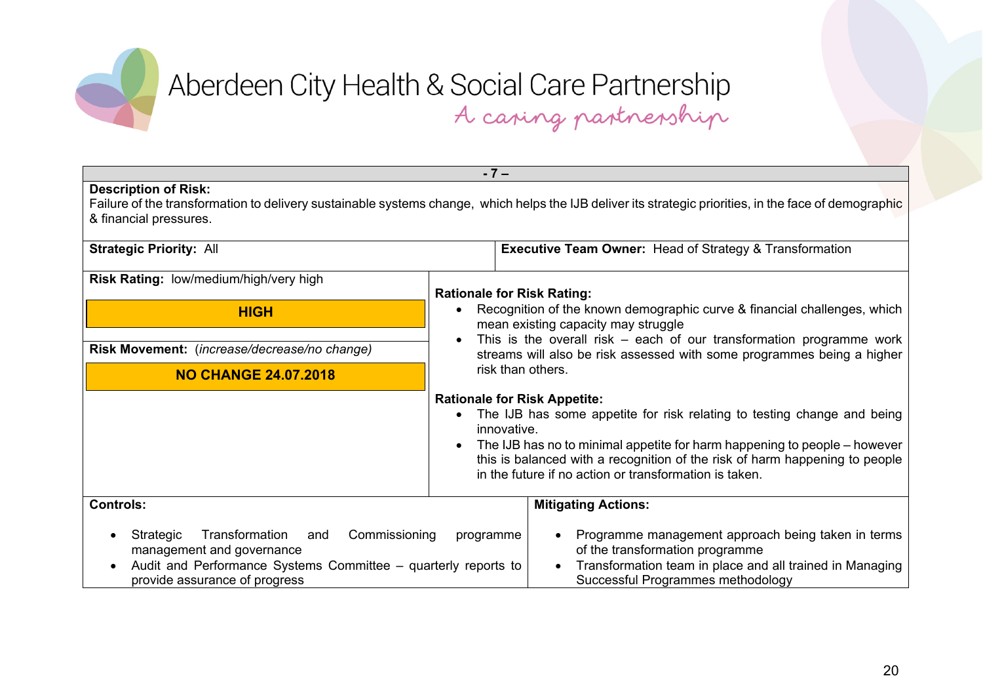

| $-7-$                                                                                                                                                                               |                                                                                                                                                                                                                                                                                                                                                     |  |
|-------------------------------------------------------------------------------------------------------------------------------------------------------------------------------------|-----------------------------------------------------------------------------------------------------------------------------------------------------------------------------------------------------------------------------------------------------------------------------------------------------------------------------------------------------|--|
| <b>Description of Risk:</b><br>& financial pressures.                                                                                                                               | Failure of the transformation to delivery sustainable systems change, which helps the IJB deliver its strategic priorities, in the face of demographic                                                                                                                                                                                              |  |
| <b>Strategic Priority: All</b>                                                                                                                                                      | <b>Executive Team Owner: Head of Strategy &amp; Transformation</b>                                                                                                                                                                                                                                                                                  |  |
| Risk Rating: low/medium/high/very high                                                                                                                                              | <b>Rationale for Risk Rating:</b>                                                                                                                                                                                                                                                                                                                   |  |
| <b>HIGH</b>                                                                                                                                                                         | Recognition of the known demographic curve & financial challenges, which<br>$\bullet$<br>mean existing capacity may struggle<br>This is the overall risk $-$ each of our transformation programme work<br>streams will also be risk assessed with some programmes being a higher<br>risk than others.                                               |  |
| Risk Movement: (increase/decrease/no change)                                                                                                                                        |                                                                                                                                                                                                                                                                                                                                                     |  |
| <b>NO CHANGE 24.07.2018</b>                                                                                                                                                         |                                                                                                                                                                                                                                                                                                                                                     |  |
|                                                                                                                                                                                     | <b>Rationale for Risk Appetite:</b><br>The IJB has some appetite for risk relating to testing change and being<br>innovative.<br>The IJB has no to minimal appetite for harm happening to people – however<br>this is balanced with a recognition of the risk of harm happening to people<br>in the future if no action or transformation is taken. |  |
| <b>Controls:</b>                                                                                                                                                                    | <b>Mitigating Actions:</b>                                                                                                                                                                                                                                                                                                                          |  |
| Transformation<br>Commissioning<br>Strategic<br>and<br>management and governance<br>Audit and Performance Systems Committee – quarterly reports to<br>provide assurance of progress | Programme management approach being taken in terms<br>programme<br>$\bullet$<br>of the transformation programme<br>Transformation team in place and all trained in Managing<br>$\bullet$<br>Successful Programmes methodology                                                                                                                       |  |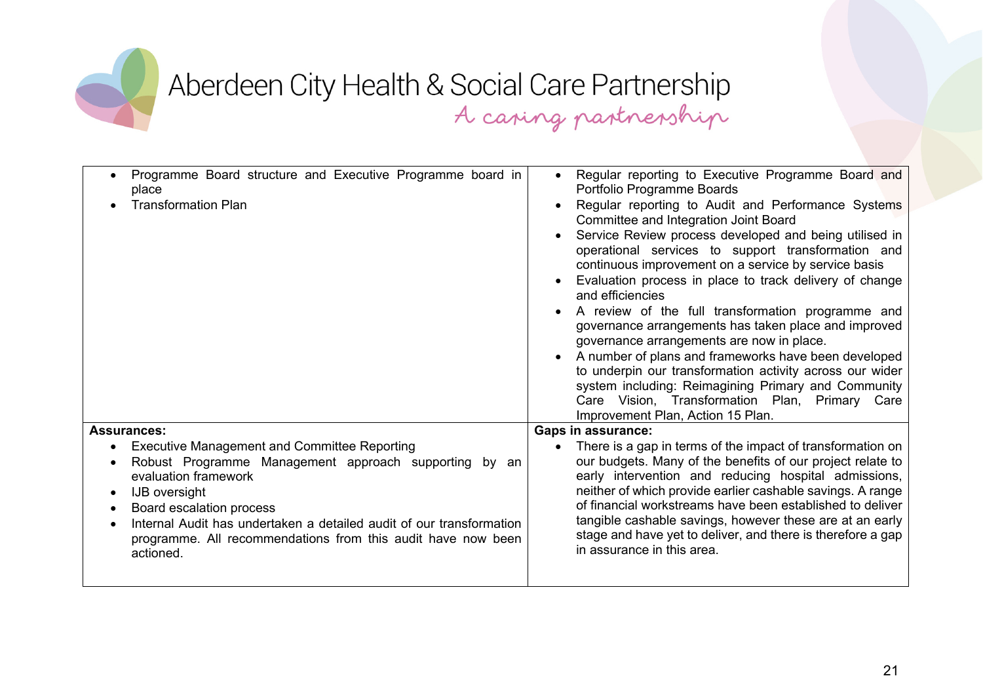

| Programme Board structure and Executive Programme board in<br>place<br><b>Transformation Plan</b>                                                                                                                                                                                                                                             | Regular reporting to Executive Programme Board and<br>$\bullet$<br>Portfolio Programme Boards<br>Regular reporting to Audit and Performance Systems<br>Committee and Integration Joint Board<br>Service Review process developed and being utilised in<br>operational services to support transformation and<br>continuous improvement on a service by service basis<br>Evaluation process in place to track delivery of change<br>and efficiencies<br>A review of the full transformation programme and<br>governance arrangements has taken place and improved<br>governance arrangements are now in place.<br>A number of plans and frameworks have been developed<br>to underpin our transformation activity across our wider<br>system including: Reimagining Primary and Community<br>Care Vision, Transformation Plan, Primary<br>Care<br>Improvement Plan, Action 15 Plan. |
|-----------------------------------------------------------------------------------------------------------------------------------------------------------------------------------------------------------------------------------------------------------------------------------------------------------------------------------------------|------------------------------------------------------------------------------------------------------------------------------------------------------------------------------------------------------------------------------------------------------------------------------------------------------------------------------------------------------------------------------------------------------------------------------------------------------------------------------------------------------------------------------------------------------------------------------------------------------------------------------------------------------------------------------------------------------------------------------------------------------------------------------------------------------------------------------------------------------------------------------------|
| <b>Assurances:</b>                                                                                                                                                                                                                                                                                                                            | <b>Gaps in assurance:</b>                                                                                                                                                                                                                                                                                                                                                                                                                                                                                                                                                                                                                                                                                                                                                                                                                                                          |
| <b>Executive Management and Committee Reporting</b><br>Robust Programme Management approach supporting by an<br>evaluation framework<br><b>IJB</b> oversight<br>Board escalation process<br>Internal Audit has undertaken a detailed audit of our transformation<br>programme. All recommendations from this audit have now been<br>actioned. | There is a gap in terms of the impact of transformation on<br>our budgets. Many of the benefits of our project relate to<br>early intervention and reducing hospital admissions,<br>neither of which provide earlier cashable savings. A range<br>of financial workstreams have been established to deliver<br>tangible cashable savings, however these are at an early<br>stage and have yet to deliver, and there is therefore a gap<br>in assurance in this area.                                                                                                                                                                                                                                                                                                                                                                                                               |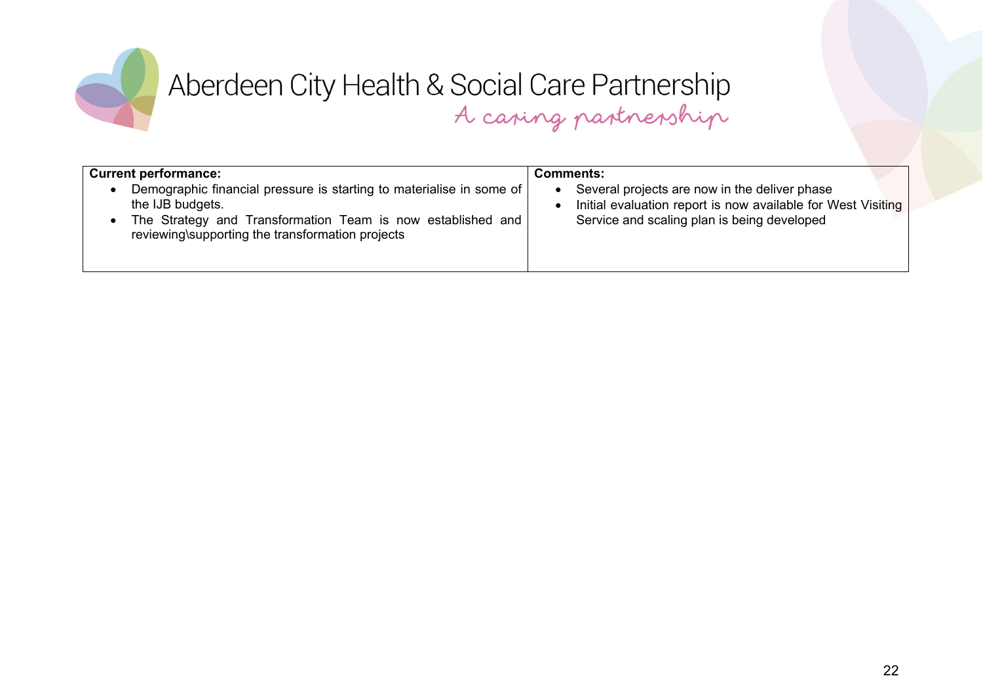

| <b>Current performance:</b><br>Demographic financial pressure is starting to materialise in some of<br>the IJB budgets.<br>The Strategy and Transformation Team is now established and<br>reviewing\supporting the transformation projects | <b>Comments:</b><br>Several projects are now in the deliver phase<br>Initial evaluation report is now available for West Visiting<br>Service and scaling plan is being developed |
|--------------------------------------------------------------------------------------------------------------------------------------------------------------------------------------------------------------------------------------------|----------------------------------------------------------------------------------------------------------------------------------------------------------------------------------|
|                                                                                                                                                                                                                                            |                                                                                                                                                                                  |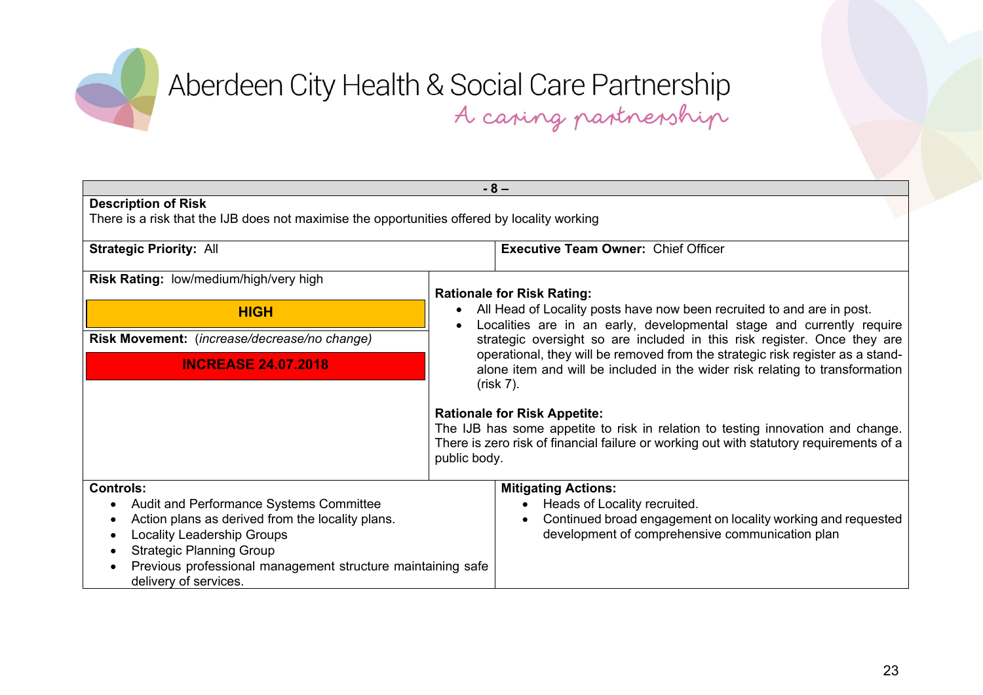

| $-8-$                                                                                                                                                                                                                                                                           |                                                                                                                                                                                                                                                                                                                                                                                                               |  |
|---------------------------------------------------------------------------------------------------------------------------------------------------------------------------------------------------------------------------------------------------------------------------------|---------------------------------------------------------------------------------------------------------------------------------------------------------------------------------------------------------------------------------------------------------------------------------------------------------------------------------------------------------------------------------------------------------------|--|
| <b>Description of Risk</b><br>There is a risk that the IJB does not maximise the opportunities offered by locality working                                                                                                                                                      |                                                                                                                                                                                                                                                                                                                                                                                                               |  |
| <b>Strategic Priority: All</b>                                                                                                                                                                                                                                                  | <b>Executive Team Owner: Chief Officer</b>                                                                                                                                                                                                                                                                                                                                                                    |  |
| Risk Rating: low/medium/high/very high                                                                                                                                                                                                                                          | <b>Rationale for Risk Rating:</b>                                                                                                                                                                                                                                                                                                                                                                             |  |
| <b>HIGH</b>                                                                                                                                                                                                                                                                     | All Head of Locality posts have now been recruited to and are in post.<br>Localities are in an early, developmental stage and currently require<br>strategic oversight so are included in this risk register. Once they are<br>operational, they will be removed from the strategic risk register as a stand-<br>alone item and will be included in the wider risk relating to transformation<br>$(risk 7)$ . |  |
| Risk Movement: (increase/decrease/no change)                                                                                                                                                                                                                                    |                                                                                                                                                                                                                                                                                                                                                                                                               |  |
| <b>INCREASE 24.07.2018</b>                                                                                                                                                                                                                                                      |                                                                                                                                                                                                                                                                                                                                                                                                               |  |
|                                                                                                                                                                                                                                                                                 | <b>Rationale for Risk Appetite:</b><br>The IJB has some appetite to risk in relation to testing innovation and change.<br>There is zero risk of financial failure or working out with statutory requirements of a<br>public body.                                                                                                                                                                             |  |
| <b>Controls:</b><br>Audit and Performance Systems Committee<br>Action plans as derived from the locality plans.<br><b>Locality Leadership Groups</b><br><b>Strategic Planning Group</b><br>Previous professional management structure maintaining safe<br>delivery of services. | <b>Mitigating Actions:</b><br>Heads of Locality recruited.<br>Continued broad engagement on locality working and requested<br>development of comprehensive communication plan                                                                                                                                                                                                                                 |  |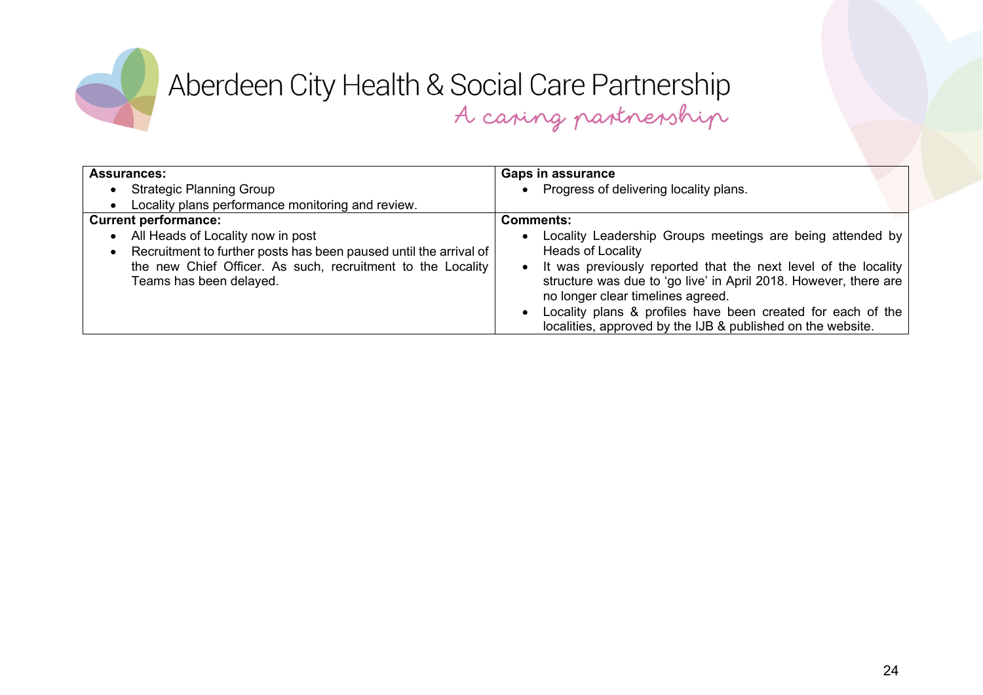

| <b>Assurances:</b>                                                                                                                                                                               | <b>Gaps in assurance</b>                                                                                                                                                                                                                                                                                                                                                                       |
|--------------------------------------------------------------------------------------------------------------------------------------------------------------------------------------------------|------------------------------------------------------------------------------------------------------------------------------------------------------------------------------------------------------------------------------------------------------------------------------------------------------------------------------------------------------------------------------------------------|
| <b>Strategic Planning Group</b>                                                                                                                                                                  | Progress of delivering locality plans.                                                                                                                                                                                                                                                                                                                                                         |
| Locality plans performance monitoring and review.                                                                                                                                                |                                                                                                                                                                                                                                                                                                                                                                                                |
| <b>Current performance:</b>                                                                                                                                                                      | <b>Comments:</b>                                                                                                                                                                                                                                                                                                                                                                               |
| All Heads of Locality now in post<br>Recruitment to further posts has been paused until the arrival of<br>the new Chief Officer. As such, recruitment to the Locality<br>Teams has been delayed. | Locality Leadership Groups meetings are being attended by<br><b>Heads of Locality</b><br>It was previously reported that the next level of the locality<br>structure was due to 'go live' in April 2018. However, there are<br>no longer clear timelines agreed.<br>Locality plans & profiles have been created for each of the<br>localities, approved by the IJB & published on the website. |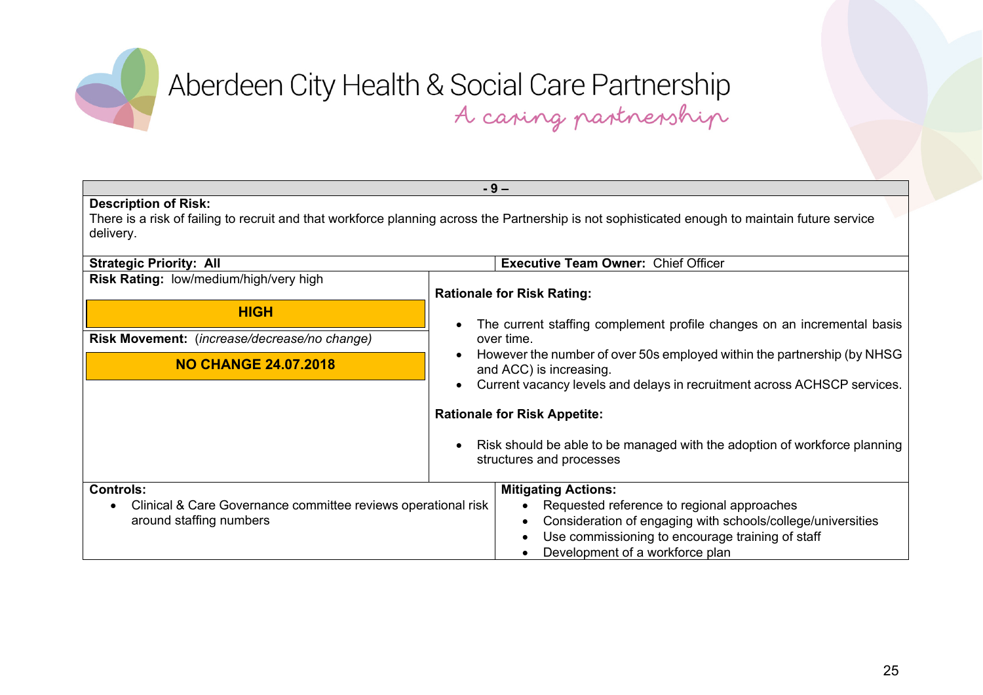

| $-9-$                                                                                                                                                                                       |                                                                                                                                                                                                                                |  |
|---------------------------------------------------------------------------------------------------------------------------------------------------------------------------------------------|--------------------------------------------------------------------------------------------------------------------------------------------------------------------------------------------------------------------------------|--|
| <b>Description of Risk:</b><br>There is a risk of failing to recruit and that workforce planning across the Partnership is not sophisticated enough to maintain future service<br>delivery. |                                                                                                                                                                                                                                |  |
| <b>Strategic Priority: All</b>                                                                                                                                                              | <b>Executive Team Owner: Chief Officer</b>                                                                                                                                                                                     |  |
| Risk Rating: low/medium/high/very high                                                                                                                                                      | <b>Rationale for Risk Rating:</b>                                                                                                                                                                                              |  |
| <b>HIGH</b>                                                                                                                                                                                 | The current staffing complement profile changes on an incremental basis                                                                                                                                                        |  |
| Risk Movement: (increase/decrease/no change)                                                                                                                                                | over time.                                                                                                                                                                                                                     |  |
| <b>NO CHANGE 24.07.2018</b>                                                                                                                                                                 | However the number of over 50s employed within the partnership (by NHSG<br>and ACC) is increasing.<br>Current vacancy levels and delays in recruitment across ACHSCP services.                                                 |  |
|                                                                                                                                                                                             | <b>Rationale for Risk Appetite:</b>                                                                                                                                                                                            |  |
|                                                                                                                                                                                             | Risk should be able to be managed with the adoption of workforce planning<br>structures and processes                                                                                                                          |  |
| <b>Controls:</b><br>Clinical & Care Governance committee reviews operational risk<br>around staffing numbers                                                                                | <b>Mitigating Actions:</b><br>Requested reference to regional approaches<br>Consideration of engaging with schools/college/universities<br>Use commissioning to encourage training of staff<br>Development of a workforce plan |  |